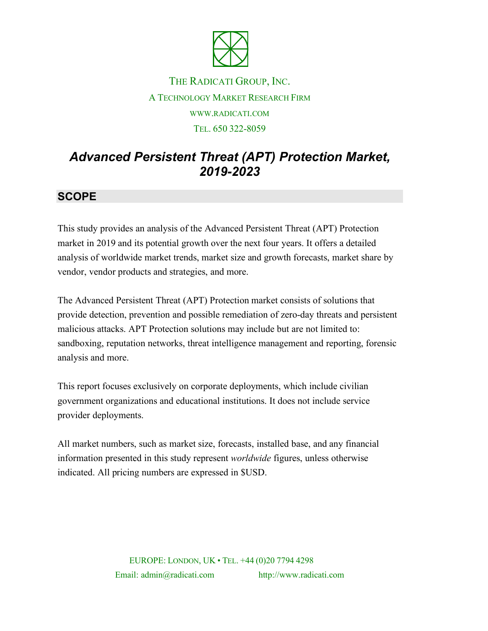

## THE RADICATI GROUP, INC. A TECHNOLOGY MARKET RESEARCH FIRM WWW.RADICATI.COM TEL. 650 322-8059

# *Advanced Persistent Threat (APT) Protection Market, 2019-2023*

### **SCOPE**

This study provides an analysis of the Advanced Persistent Threat (APT) Protection market in 2019 and its potential growth over the next four years. It offers a detailed analysis of worldwide market trends, market size and growth forecasts, market share by vendor, vendor products and strategies, and more.

The Advanced Persistent Threat (APT) Protection market consists of solutions that provide detection, prevention and possible remediation of zero-day threats and persistent malicious attacks. APT Protection solutions may include but are not limited to: sandboxing, reputation networks, threat intelligence management and reporting, forensic analysis and more.

This report focuses exclusively on corporate deployments, which include civilian government organizations and educational institutions. It does not include service provider deployments.

All market numbers, such as market size, forecasts, installed base, and any financial information presented in this study represent *worldwide* figures, unless otherwise indicated. All pricing numbers are expressed in \$USD.

> EUROPE: LONDON, UK • TEL. +44 (0)20 7794 4298 Email: admin@radicati.com http://www.radicati.com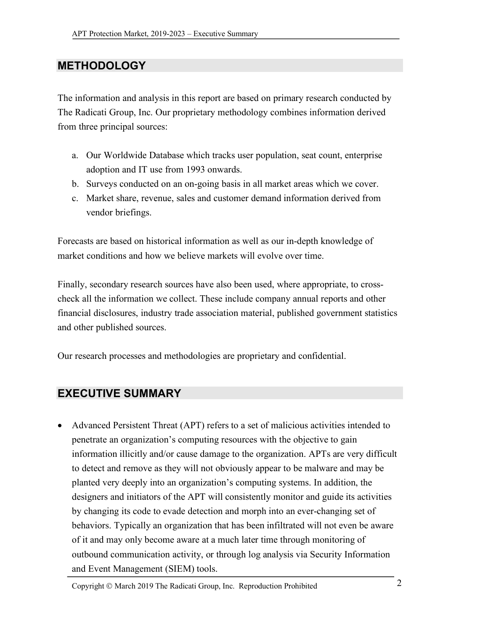#### **METHODOLOGY**

The information and analysis in this report are based on primary research conducted by The Radicati Group, Inc. Our proprietary methodology combines information derived from three principal sources:

- a. Our Worldwide Database which tracks user population, seat count, enterprise adoption and IT use from 1993 onwards.
- b. Surveys conducted on an on-going basis in all market areas which we cover.
- c. Market share, revenue, sales and customer demand information derived from vendor briefings.

Forecasts are based on historical information as well as our in-depth knowledge of market conditions and how we believe markets will evolve over time.

Finally, secondary research sources have also been used, where appropriate, to crosscheck all the information we collect. These include company annual reports and other financial disclosures, industry trade association material, published government statistics and other published sources.

Our research processes and methodologies are proprietary and confidential.

#### **EXECUTIVE SUMMARY**

• Advanced Persistent Threat (APT) refers to a set of malicious activities intended to penetrate an organization's computing resources with the objective to gain information illicitly and/or cause damage to the organization. APTs are very difficult to detect and remove as they will not obviously appear to be malware and may be planted very deeply into an organization's computing systems. In addition, the designers and initiators of the APT will consistently monitor and guide its activities by changing its code to evade detection and morph into an ever-changing set of behaviors. Typically an organization that has been infiltrated will not even be aware of it and may only become aware at a much later time through monitoring of outbound communication activity, or through log analysis via Security Information and Event Management (SIEM) tools.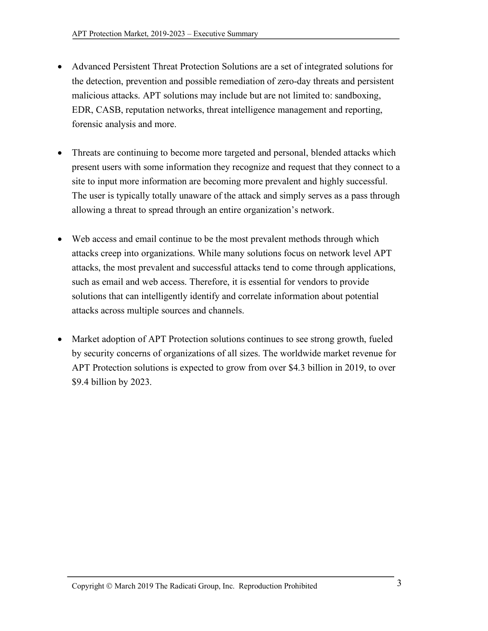- Advanced Persistent Threat Protection Solutions are a set of integrated solutions for the detection, prevention and possible remediation of zero-day threats and persistent malicious attacks. APT solutions may include but are not limited to: sandboxing, EDR, CASB, reputation networks, threat intelligence management and reporting, forensic analysis and more.
- Threats are continuing to become more targeted and personal, blended attacks which present users with some information they recognize and request that they connect to a site to input more information are becoming more prevalent and highly successful. The user is typically totally unaware of the attack and simply serves as a pass through allowing a threat to spread through an entire organization's network.
- Web access and email continue to be the most prevalent methods through which attacks creep into organizations. While many solutions focus on network level APT attacks, the most prevalent and successful attacks tend to come through applications, such as email and web access. Therefore, it is essential for vendors to provide solutions that can intelligently identify and correlate information about potential attacks across multiple sources and channels.
- Market adoption of APT Protection solutions continues to see strong growth, fueled by security concerns of organizations of all sizes. The worldwide market revenue for APT Protection solutions is expected to grow from over \$4.3 billion in 2019, to over \$9.4 billion by 2023.